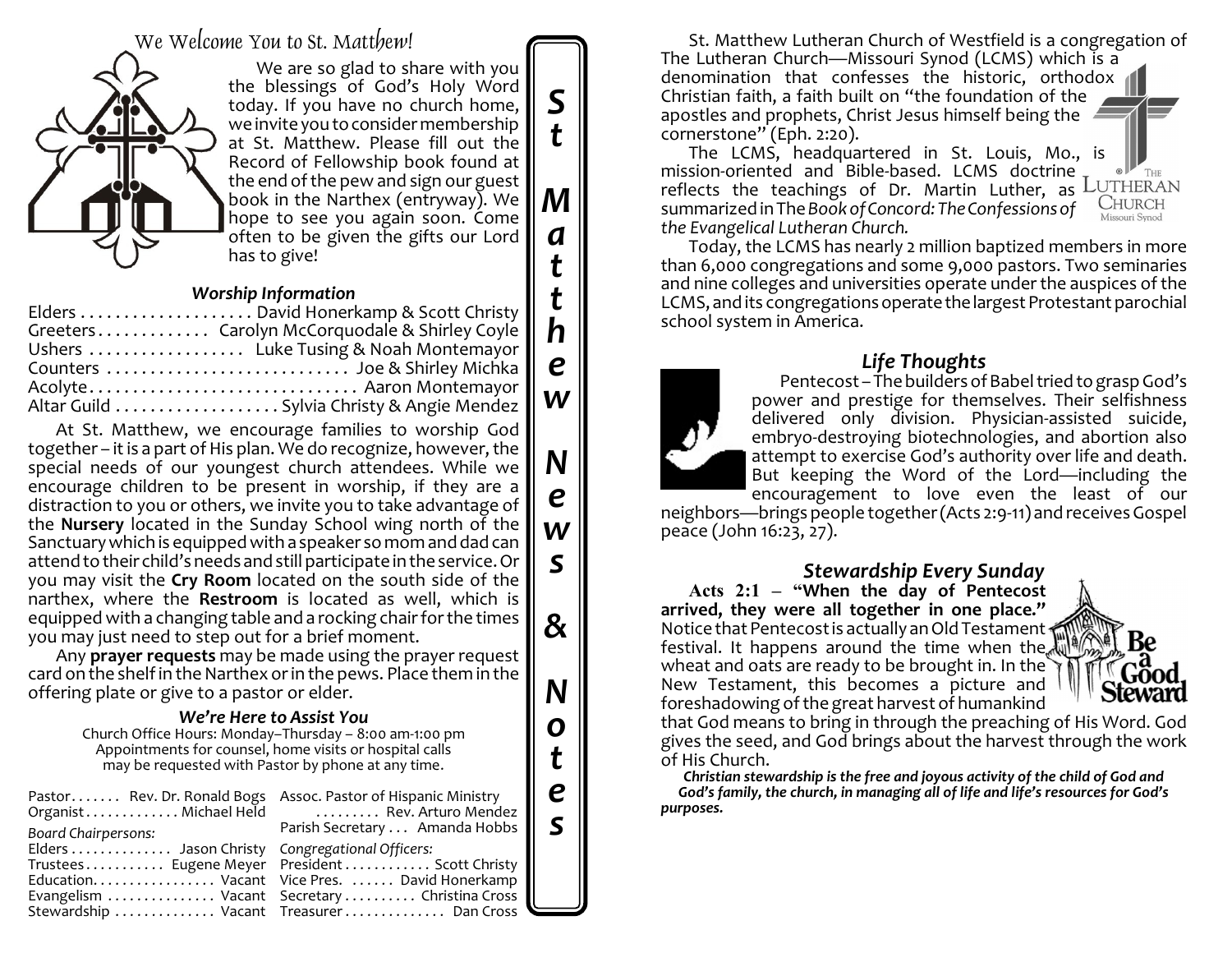We Welcome You to St. Matthew!



We are so glad to share with you the blessings of God's Holy Word today. If you have no church home, we invite you to consider membership at St. Matthew. Please fill out the Record of Fellowship book found at the end of the pew and sign our guest book in the Narthex (entryway). We hope to see you again soon. Come often to be given the gifts our Lord has to give!

*S*

*t*

*M*

*a*

*t*

*t h*

*e*

*w*

*N*

*e*

*w*

*s*

*&*

*N*

*o*

*t*

*e s*

#### *Worship Information*

| Greeters Carolyn McCorquodale & Shirley Covle |
|-----------------------------------------------|
| Ushers  Luke Tusing & Noah Montemayor         |
|                                               |
| Acolyte Aaron Montemayor                      |
|                                               |
|                                               |

At St. Matthew, we encourage families to worship God together – it is a part of His plan. We do recognize, however, the special needs of our youngest church attendees. While we encourage children to be present in worship, if they are a distraction to you or others, we invite you to take advantage of the **Nursery** located in the Sunday School wing north of the Sanctuarywhich is equipped with a speaker so mom and dad can attend to their child's needs and still participate in the service. Or you may visit the **Cry Room** located on the south side of the narthex, where the **Restroom** is located as well, which is equipped with a changing table and a rocking chair for the times you may just need to step out for a brief moment.

Any **prayer requests** may be made using the prayer request card on the shelf in the Narthex orin the pews. Place them in the offering plate or give to a pastor or elder.

#### *We're Here to Assist You*

Church Office Hours: Monday–Thursday – 8:00 am-1:00 pm Appointments for counsel, home visits or hospital calls may be requested with Pastor by phone at any time.

| Pastor Rev. Dr. Ronald Bogs Assoc. Pastor of Hispanic Ministry<br>Board Chairpersons: | Organist Michael Held Rev. Arturo Mendez<br>Parish Secretary  Amanda Hobbs                                                                                                                          |
|---------------------------------------------------------------------------------------|-----------------------------------------------------------------------------------------------------------------------------------------------------------------------------------------------------|
| Elders  Jason Christy Congregational Officers:                                        | Trustees Eugene Meyer    President    Scott Christy   <br>Education. Vacant Vice Pres. David Honerkamp<br>Evangelism  Vacant Secretary  Christina Cross<br>Stewardship  Vacant Treasurer  Dan Cross |

St. Matthew Lutheran Church of Westfield is a congregation of The Lutheran Church—Missouri Synod (LCMS) which is a denomination that confesses the historic, orthodox Christian faith, a faith built on "the foundation of the apostles and prophets, Christ Jesus himself being the cornerstone" (Eph. 2:20).

The LCMS, headquartered in St. Louis, Mo., is mission-oriented and Bible-based. LCMS doctrine THE reflects the teachings of Dr. Martin Luther, as LUTHERAN **CHURCH** summarized in The *Book of Concord: The Confessions of the Evangelical Lutheran Church.*

Today, the LCMS has nearly 2 million baptized members in more than 6,000 congregations and some 9,000 pastors. Two seminaries and nine colleges and universities operate under the auspices of the LCMS, and its congregations operate the largest Protestant parochial school system in America.

### *Life Thoughts*

Pentecost – The builders of Babel tried to grasp God's power and prestige for themselves. Their selfishness delivered only division. Physician-assisted suicide, embryo-destroying biotechnologies, and abortion also attempt to exercise God's authority over life and death. But keeping the Word of the Lord—including the encouragement to love even the least of our

neighbors—brings people together(Acts 2:9-11) and receives Gospel peace (John 16:23, 27).

### *Stewardship Every Sunday*

**Acts 2:1 – "When the day of Pentecost arrived, they were all together in one place."** Notice that Pentecost is actually an Old Testament festival. It happens around the time when the wheat and oats are ready to be brought in. In the New Testament, this becomes a picture and foreshadowing of the great harvest of humankind



that God means to bring in through the preaching of His Word. God gives the seed, and God brings about the harvest through the work of His Church.

*Christian stewardship is the free and joyous activity of the child of God and God's family, the church, in managing all of life and life's resources for God's purposes.*

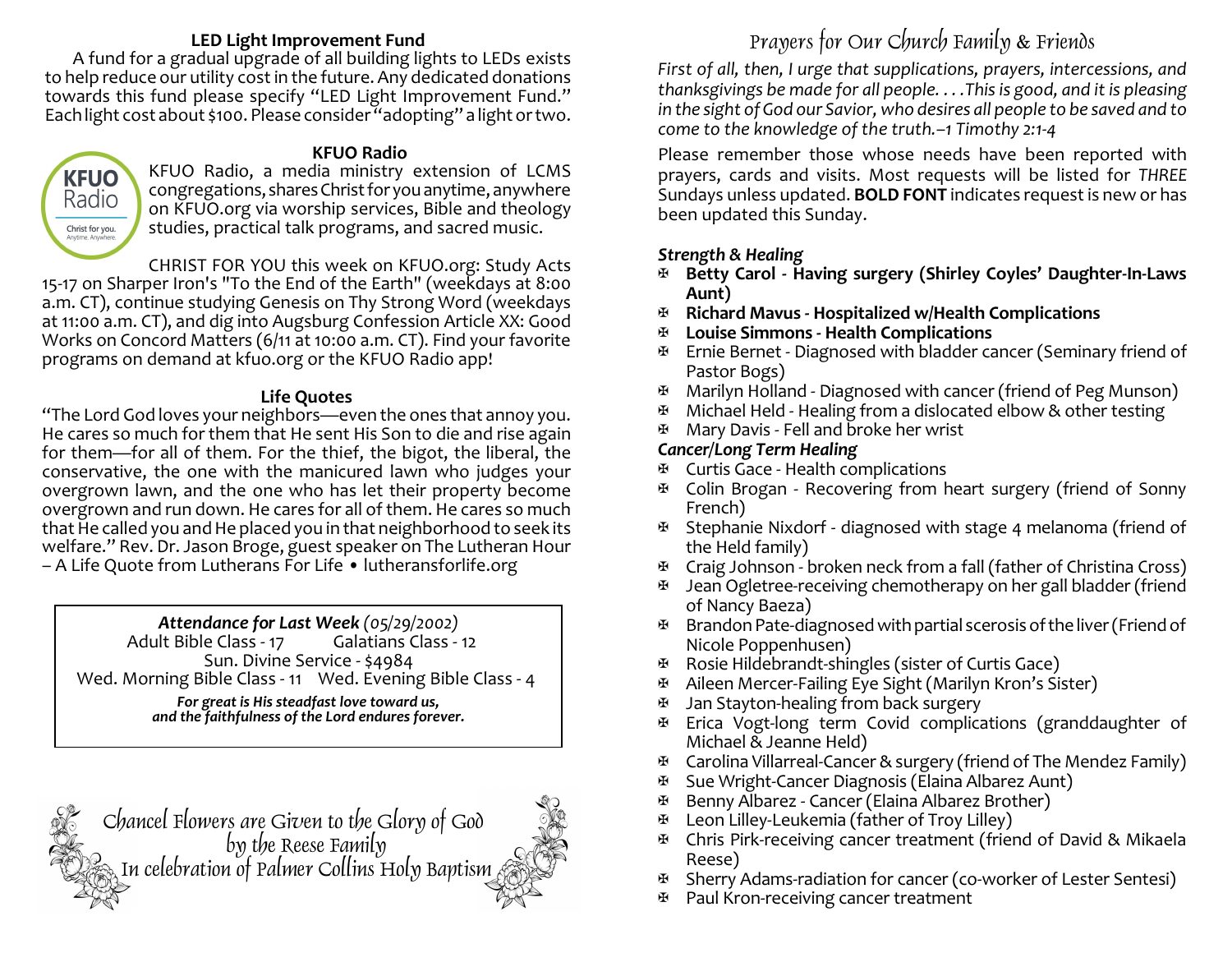### **LED Light Improvement Fund**

A fund for a gradual upgrade of all building lights to LEDs exists to help reduce our utility cost in the future. Any dedicated donations towards this fund please specify "LED Light Improvement Fund." Each light cost about \$100. Please consider "adopting" a light ortwo.



### **KFUO Radio**

KFUO Radio, a media ministry extension of LCMS congregations, shares Christ for you anytime, anywhere on KFUO.org via worship services, Bible and theology studies, practical talk programs, and sacred music.

CHRIST FOR YOU this week on KFUO.org: Study Acts 15-17 on Sharper Iron's "To the End of the Earth" (weekdays at 8:00 a.m. CT), continue studying Genesis on Thy Strong Word (weekdays at 11:00 a.m. CT), and dig into Augsburg Confession Article XX: Good Works on Concord Matters (6/11 at 10:00 a.m. CT). Find your favorite programs on demand at kfuo.org or the KFUO Radio app!

### **Life Quotes**

"The Lord God loves your neighbors—even the ones that annoy you. He cares so much for them that He sent His Son to die and rise again for them—for all of them. For the thief, the bigot, the liberal, the conservative, the one with the manicured lawn who judges your overgrown lawn, and the one who has let their property become overgrown and run down. He cares for all of them. He cares so much that He called you and He placed you in that neighborhood to seek its welfare." Rev. Dr. Jason Broge, guest speaker on The Lutheran Hour – A Life Quote from Lutherans For Life • lutheransforlife.org

*Attendance for Last Week (05/29/2002)* Adult Bible Class - 17 Sun. Divine Service - \$4984 Wed. Morning Bible Class - 11 Wed. Evening Bible Class - 4 *For great is His steadfast love toward us, and the faithfulness of the Lord endures forever.*



# Prayers for Our Church Family & Friends

*First of all, then, I urge that supplications, prayers, intercessions, and thanksgivings be made for all people. . . .This is good, and it is pleasing in the sight of God our Savior, who desires all people to be saved and to come to the knowledge of the truth.–1 Timothy 2:1-4*

Please remember those whose needs have been reported with prayers, cards and visits. Most requests will be listed for *THREE* Sundays unless updated. **BOLD FONT** indicates request is new or has been updated this Sunday.

# *Strength & Healing*

- a **Betty Carol Having surgery (Shirley Coyles' Daughter-In-Laws Aunt)**
- a **Richard Mavus Hospitalized w/Health Complications**
- a **Louise Simmons Health Complications**
- $\mathfrak{B}$  Ernie Bernet Diagnosed with bladder cancer (Seminary friend of Pastor Bogs)
- a Marilyn Holland Diagnosed with cancer (friend of Peg Munson)
- $\mathbf{F}$  Michael Held Healing from a dislocated elbow & other testing
- $\mathbb{F}$  Mary Davis Fell and broke her wrist

# *Cancer/Long Term Healing*

- $\overline{B}$  Curtis Gace Health complications
- a Colin Brogan Recovering from heart surgery (friend of Sonny French)
- a Stephanie Nixdorf diagnosed with stage 4 melanoma (friend of the Held family)
- $\mathbb{F}$  Craig Johnson broken neck from a fall (father of Christina Cross)
- $\mathbb{F}$  Jean Ogletree-receiving chemotherapy on her gall bladder (friend of Nancy Baeza)
- $\mathbb F$  Brandon Pate-diagnosed with partial scerosis of the liver (Friend of Nicole Poppenhusen)
- $\mathfrak{B}$  Rosie Hildebrandt-shingles (sister of Curtis Gace)
- a Aileen Mercer-Failing Eye Sight (Marilyn Kron's Sister)
- Jan Stayton-healing from back surgery
- a Erica Vogt-long term Covid complications (granddaughter of Michael & Jeanne Held)
- a Carolina Villarreal-Cancer&surgery (friend of The Mendez Family)
- a Sue Wright-Cancer Diagnosis (Elaina Albarez Aunt)
- a Benny Albarez Cancer (Elaina Albarez Brother)
- a Leon Lilley-Leukemia (father of Troy Lilley)
- a Chris Pirk-receiving cancer treatment (friend of David & Mikaela Reese)
- a Sherry Adams-radiation for cancer (co-worker of Lester Sentesi)
- a Paul Kron-receiving cancer treatment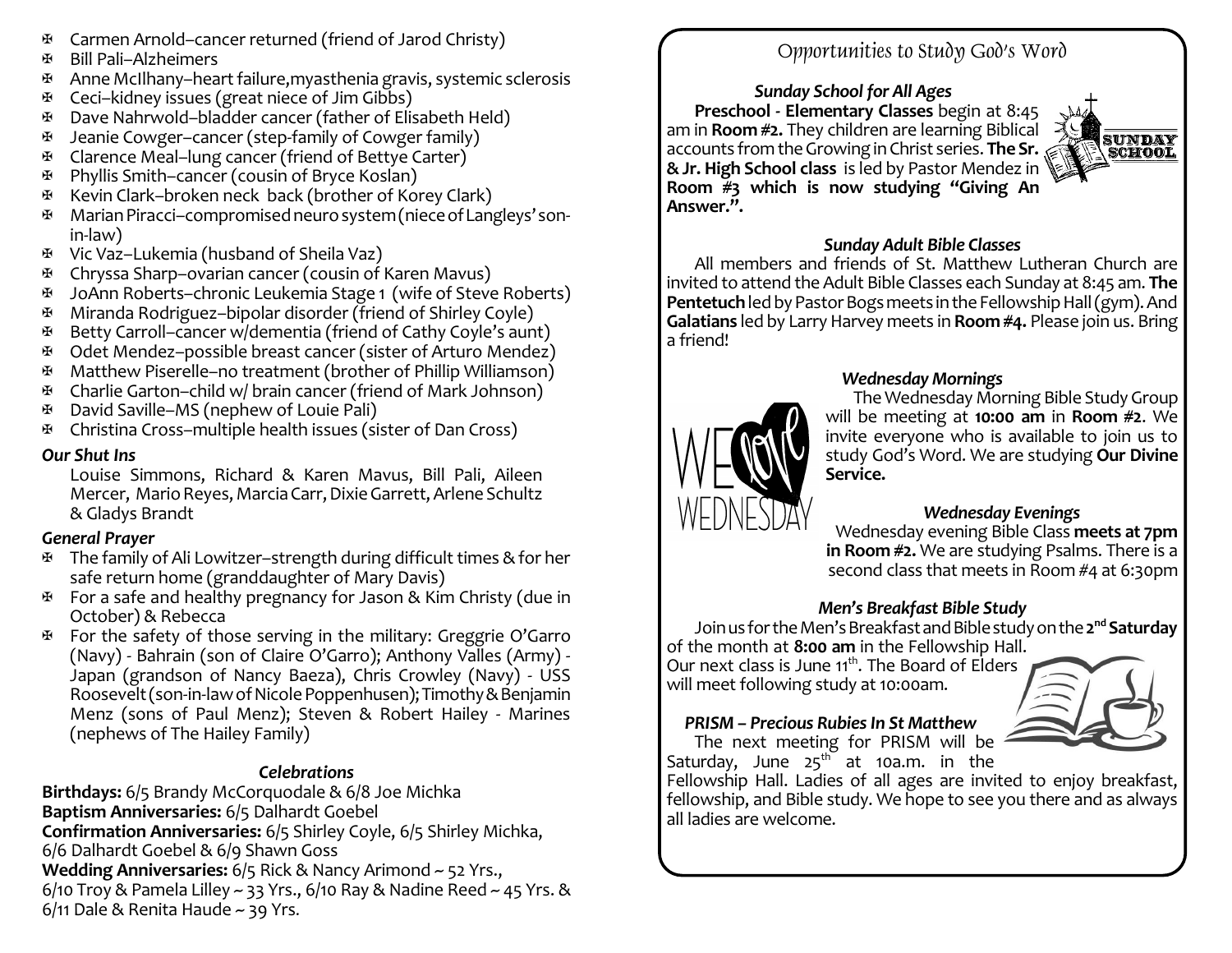- $\mathfrak{B}$  Carmen Arnold–cancer returned (friend of Jarod Christy)
- a Bill Pali–Alzheimers
- $\mathfrak{B}$  Anne McIlhany–heart failure, myasthenia gravis, systemic sclerosis
- a Ceci–kidney issues (great niece of Jim Gibbs)
- a Dave Nahrwold–bladder cancer (father of Elisabeth Held)
- $\mathfrak{B}$  Jeanie Cowger–cancer (step-family of Cowger family)
- a Clarence Meal–lung cancer (friend of Bettye Carter)
- a Phyllis Smith–cancer (cousin of Bryce Koslan)
- a Kevin Clark–broken neck back (brother of Korey Clark)
- Marian Piracci–compromised neuro system (niece of Langleys' sonin-law)
- a Vic Vaz–Lukemia (husband of Sheila Vaz)
- a Chryssa Sharp–ovarian cancer (cousin of Karen Mavus)
- a JoAnn Roberts–chronic Leukemia Stage 1 (wife of Steve Roberts)
- a Miranda Rodriguez–bipolar disorder (friend of Shirley Coyle)
- a Betty Carroll–cancer w/dementia (friend of Cathy Coyle's aunt)
- $\mathfrak{B}$  Odet Mendez–possible breast cancer (sister of Arturo Mendez)
- a Matthew Piserelle–no treatment (brother of Phillip Williamson)
- a Charlie Garton–child w/ brain cancer (friend of Mark Johnson)
- a David Saville–MS (nephew of Louie Pali)
- a Christina Cross–multiple health issues (sister of Dan Cross)

### *Our Shut Ins*

Louise Simmons, Richard & Karen Mavus, Bill Pali, Aileen Mercer, Mario Reyes, Marcia Carr, Dixie Garrett, Arlene Schultz & Gladys Brandt

### *General Prayer*

- $\mathfrak{B}$  The family of Ali Lowitzer–strength during difficult times & for her safe return home (granddaughter of Mary Davis)
- $\mathfrak{B}$  For a safe and healthy pregnancy for Jason & Kim Christy (due in October) & Rebecca
- $\Phi$  For the safety of those serving in the military: Greggrie O'Garro (Navy) - Bahrain (son of Claire O'Garro); Anthony Valles (Army) - Japan (grandson of Nancy Baeza), Chris Crowley (Navy) - USS Roosevelt(son-in-lawofNicolePoppenhusen);Timothy&Benjamin Menz (sons of Paul Menz); Steven & Robert Hailey - Marines (nephews of The Hailey Family)

## *Celebrations*

**Birthdays:** 6/5 Brandy McCorquodale & 6/8 Joe Michka **Baptism Anniversaries:** 6/5 Dalhardt Goebel **Confirmation Anniversaries:** 6/5 Shirley Coyle, 6/5 Shirley Michka, 6/6 Dalhardt Goebel & 6/9 Shawn Goss **Wedding Anniversaries:** 6/5 Rick & Nancy Arimond ~ 52 Yrs., 6/10 Troy & Pamela Lilley  $\sim$  33 Yrs., 6/10 Ray & Nadine Reed  $\sim$  45 Yrs. &  $6/11$  Dale & Renita Haude ~ 39 Yrs.

# Opportunities to Study God's Word

*Sunday School for All Ages* **Preschool - Elementary Classes** begin at 8:45 am in **Room #2.** They children are learning Biblical accounts fromtheGrowinginChrist series. **The Sr. &Jr. High School class** is led by Pastor Mendez in **Room #3 which is now studying "Giving An Answer.".**



### *Sunday Adult Bible Classes*

All members and friends of St. Matthew Lutheran Church are invited to attend the Adult Bible Classes each Sunday at 8:45 am. **The Pentetuch** led by Pastor Bogs meets in the Fellowship Hall (gym). And **Galatians** led by Larry Harvey meets in **Room #4.** Please join us. Bring a friend!



### *Wednesday Mornings*

The Wednesday Morning Bible Study Group will be meeting at **10:00 am** in **Room #2**. We invite everyone who is available to join us to study God's Word. We are studying **Our Divine Service.**

### *Wednesday Evenings*

Wednesday evening Bible Class **meets at 7pm in Room #2.** We are studying Psalms. There is a second class that meets in Room #4 at 6:30pm

### *Men's Breakfast Bible Study*

Joinus fortheMen'sBreakfastandBiblestudyonthe**2 nd Saturday** of the month at **8:00 am** in the Fellowship Hall.

Our next class is June 11<sup>th</sup>. The Board of Elders will meet following study at 10:00am.



# *PRISM – Precious RubiesIn St Matthew*

The next meeting for PRISM will be Saturday, June  $25^{\text{th}}$  at 10a.m. in the

Fellowship Hall. Ladies of all ages are invited to enjoy breakfast, fellowship, and Bible study. We hope to see you there and as always all ladies are welcome.